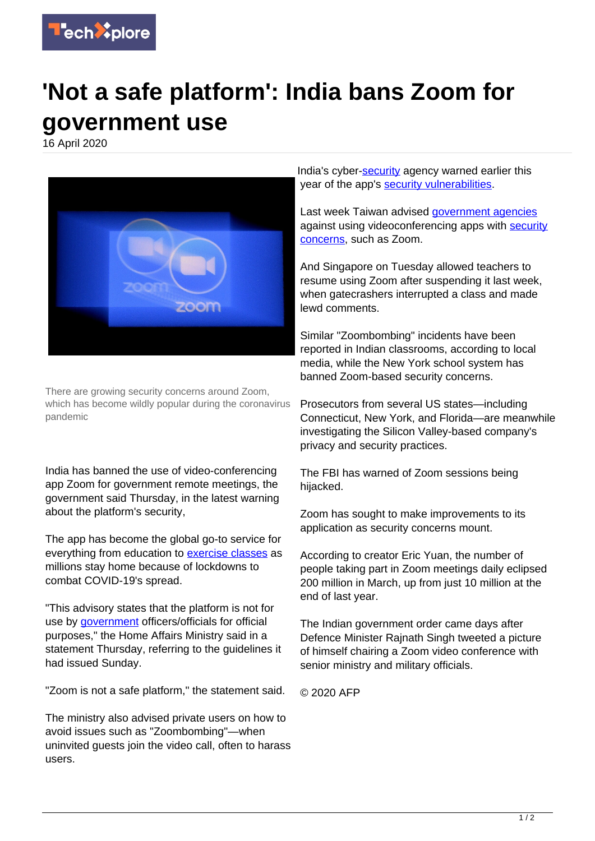

## **'Not a safe platform': India bans Zoom for government use**

16 April 2020



There are growing security concerns around Zoom, which has become wildly popular during the coronavirus pandemic

India has banned the use of video-conferencing app Zoom for government remote meetings, the government said Thursday, in the latest warning about the platform's security,

The app has become the global go-to service for everything from education to [exercise classes](https://techxplore.com/tags/exercise+classes/) as millions stay home because of lockdowns to combat COVID-19's spread.

"This advisory states that the platform is not for use by [government](https://techxplore.com/tags/government/) officers/officials for official purposes," the Home Affairs Ministry said in a statement Thursday, referring to the guidelines it had issued Sunday.

"Zoom is not a safe platform," the statement said.

The ministry also advised private users on how to avoid issues such as "Zoombombing"—when uninvited guests join the video call, often to harass users.

India's cyber-[security](https://techxplore.com/tags/security/) agency warned earlier this year of the app's [security vulnerabilities](https://techxplore.com/tags/security+vulnerabilities/).

Last week Taiwan advised [government agencies](https://techxplore.com/tags/government+agencies/) against using videoconferencing apps with [security](https://techxplore.com/tags/security+concerns/) [concerns](https://techxplore.com/tags/security+concerns/), such as Zoom.

And Singapore on Tuesday allowed teachers to resume using Zoom after suspending it last week, when gatecrashers interrupted a class and made lewd comments.

Similar "Zoombombing" incidents have been reported in Indian classrooms, according to local media, while the New York school system has banned Zoom-based security concerns.

Prosecutors from several US states—including Connecticut, New York, and Florida—are meanwhile investigating the Silicon Valley-based company's privacy and security practices.

The FBI has warned of Zoom sessions being hijacked.

Zoom has sought to make improvements to its application as security concerns mount.

According to creator Eric Yuan, the number of people taking part in Zoom meetings daily eclipsed 200 million in March, up from just 10 million at the end of last year.

The Indian government order came days after Defence Minister Rajnath Singh tweeted a picture of himself chairing a Zoom video conference with senior ministry and military officials.

© 2020 AFP